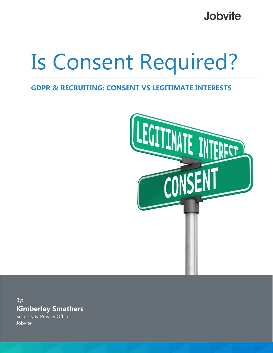**Jobvite** 

# Is Consent Required?

#### **GDPR & RECRUITING: CONSENT VS LEGITIMATE INTERESTS**



By: **Kimberley Smathers**

Security & Privacy Officer Jobvite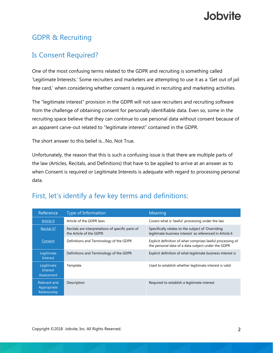# Jobvite.

## GDPR & Recruiting

## Is Consent Required?

One of the most confusing terms related to the GDPR and recruiting is something called 'Legitimate Interests.' Some recruiters and marketers are attempting to use it as a 'Get out of jail free card,' when considering whether consent is required in recruiting and marketing activities.

The "legitimate interest" provision in the GDPR will not save recruiters and recruiting software from the challenge of obtaining consent for personally identifiable data. Even so, some in the recruiting space believe that they can continue to use personal data without consent because of an apparent carve-out related to "legitimate interest" contained in the GDPR.

The short answer to this belief is…No, Not True.

Unfortunately, the reason that this is such a confusing issue is that there are multiple parts of the law (Articles, Recitals, and Definitions) that have to be applied to arrive at an answer as to when Consent is required or Legitimate Interests is adequate with regard to processing personal data.

| Reference                                   | Type of Information                                                          | Meaning                                                                                                          |
|---------------------------------------------|------------------------------------------------------------------------------|------------------------------------------------------------------------------------------------------------------|
| Article 6                                   | Article of the GDPR laws                                                     | Covers what is 'lawful' processing under the law                                                                 |
| Recital 47                                  | Recitals are interpretations of specific parts of<br>the Article of the GDPR | Specifically relates to the subject of 'Overriding<br>legitimate business interest' as referenced in Article 6   |
| Consent                                     | Definitions and Terminology of the GDPR                                      | Explicit definition of what comprises lawful processing of<br>the personal data of a data subject under the GDPR |
| Legitimate<br>Interest                      | Definitions and Terminology of the GDPR                                      | Explicit definition of what legitimate business interest is                                                      |
| Legitimate<br>Interest<br>Assessment        | Template                                                                     | Used to establish whether legitimate interest is valid                                                           |
| Relevant and<br>Appropriate<br>Relationship | Description                                                                  | Required to establish a legitimate interest                                                                      |

## First, let's identify a few key terms and definitions: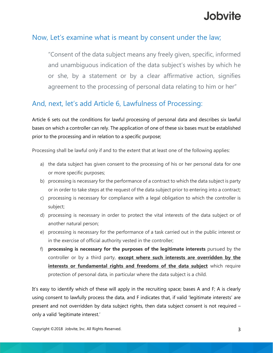# Jobvite.

#### Now, Let's examine what is meant by consent under the law;

"Consent of the data subject means any freely given, specific, informed and unambiguous indication of the data subject's wishes by which he or she, by a statement or by a clear affirmative action, signifies agreement to the processing of personal data relating to him or her"

#### And, next, let's add Article 6, Lawfulness of Processing:

Article 6 sets out the conditions for lawful processing of personal data and describes six lawful bases on which a controller can rely. The application of one of these six bases must be established prior to the processing and in relation to a specific purpose;

Processing shall be lawful only if and to the extent that at least one of the following applies:

- a) the data subject has given consent to the processing of his or her personal data for one or more specific purposes;
- b) processing is necessary for the performance of a contract to which the data subject is party or in order to take steps at the request of the data subject prior to entering into a contract;
- c) processing is necessary for compliance with a legal obligation to which the controller is subject;
- d) processing is necessary in order to protect the vital interests of the data subject or of another natural person;
- e) processing is necessary for the performance of a task carried out in the public interest or in the exercise of official authority vested in the controller;
- f) **processing is necessary for the purposes of the legitimate interests** pursued by the controller or by a third party, **except where such interests are overridden by the interests or fundamental rights and freedoms of the data subject** which require protection of personal data, in particular where the data subject is a child.

It's easy to identify which of these will apply in the recruiting space; bases A and F; A is clearly using consent to lawfully process the data, and F indicates that, if valid 'legitimate interests' are present and not overridden by data subject rights, then data subject consent is not required – only a valid 'legitimate interest.'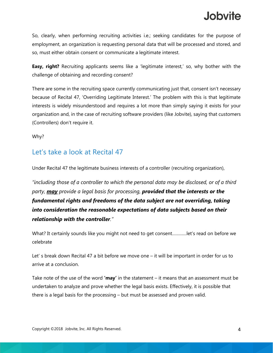So, clearly, when performing recruiting activities i.e.; seeking candidates for the purpose of employment, an organization is requesting personal data that will be processed and stored, and so, must either obtain consent or communicate a legitimate interest.

**Easy, right?** Recruiting applicants seems like a 'legitimate interest,' so, why bother with the challenge of obtaining and recording consent?

There are some in the recruiting space currently communicating just that, consent isn't necessary because of Recital 47, 'Overriding Legitimate Interest.' The problem with this is that legitimate interests is widely misunderstood and requires a lot more than simply saying it exists for your organization and, in the case of recruiting software providers (like Jobvite), saying that customers (Controllers) don't require it.

Why?

#### Let's take a look at Recital 47

Under Recital 47 the legitimate business interests of a controller (recruiting organization),

*"including those of a controller to which the personal data may be disclosed, or of a third party, may provide a legal basis for processing, provided that the interests or the fundamental rights and freedoms of the data subject are not overriding, taking into consideration the reasonable expectations of data subjects based on their relationship with the controller."*

What? It certainly sounds like you might not need to get consent…………let's read on before we celebrate

Let' s break down Recital 47 a bit before we move one – it will be important in order for us to arrive at a conclusion.

Take note of the use of the word **'may'** in the statement – it means that an assessment must be undertaken to analyze and prove whether the legal basis exists. Effectively, it is possible that there is a legal basis for the processing – but must be assessed and proven valid.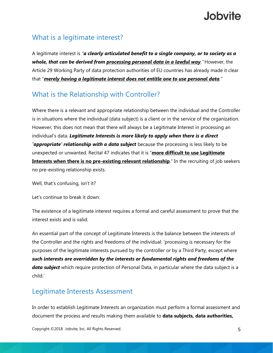## What is a legitimate interest?

A legitimate interest is *"a clearly articulated benefit to a single company, or to society as a whole, that can be derived from processing personal data in a lawful way."* However, the Article 29 Working Party of data protection authorities of EU countries has already made it clear that "*merely having a legitimate interest does not entitle one to use personal data."*

## What is the Relationship with Controller?

Where there is a relevant and appropriate relationship between the individual and the Controller is in situations where the individual (data subject) is a client or in the service of the organization. However, this does not mean that there will always be a Legitimate Interest in processing an individual's data. *Legitimate Interests is more likely to apply when there is a direct 'appropriate' relationship with a data subject* because the processing is less likely to be unexpected or unwanted. Recital 47 indicates that it is "**more difficult to use Legitimate Interests when there is no pre-existing relevant relationship**." In the recruiting of job seekers no pre-existing relationship exists.

Well, that's confusing, isn't it?

Let's continue to break it down:

The existence of a legitimate interest requires a formal and careful assessment to prove that the interest exists and is valid.

An essential part of the concept of Legitimate Interests is the balance between the interests of the Controller and the rights and freedoms of the individual: 'processing is necessary for the purposes of the legitimate interests pursued by the controller or by a Third Party, except where *such interests are overridden by the interests or fundamental rights and freedoms of the data subject* which require protection of Personal Data, in particular where the data subject is a child.'

#### Legitimate Interests Assessment

In order to establish Legitimate Interests an organization must perform a formal assessment and document the process and results making them available to **data subjects, data authorities,**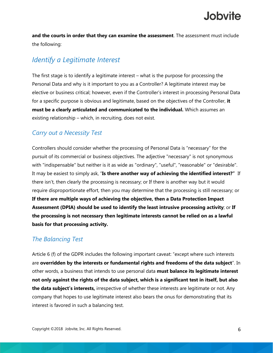**and the courts in order that they can examine the assessment**. The assessment must include the following:

#### *Identify a Legitimate Interest*

The first stage is to identify a legitimate interest – what is the purpose for processing the Personal Data and why is it important to you as a Controller? A legitimate interest may be elective or business critical; however, even if the Controller's interest in processing Personal Data for a specific purpose is obvious and legitimate, based on the objectives of the Controller, **it must be a clearly articulated and communicated to the individual.** Which assumes an existing relationship – which, in recruiting, does not exist.

#### *Carry out a Necessity Test*

Controllers should consider whether the processing of Personal Data is "necessary" for the pursuit of its commercial or business objectives. The adjective "necessary" is not synonymous with "indispensable" but neither is it as wide as "ordinary", "useful", "reasonable" or "desirable". It may be easiest to simply ask, "**Is there another way of achieving the identified interest?"** If there isn't, then clearly the processing is necessary; or If there is another way but it would require disproportionate effort, then you may determine that the processing is still necessary; or **If there are multiple ways of achieving the objective, then a Data Protection Impact Assessment (DPIA) should be used to identify the least intrusive processing activity**; or **If the processing is not necessary then legitimate interests cannot be relied on as a lawful basis for that processing activity.**

#### *The Balancing Test*

Article 6 (f) of the GDPR includes the following important caveat: "except where such interests are **overridden by the interests or fundamental rights and freedoms of the data subject**". In other words, a business that intends to use personal data **must balance its legitimate interest not only against the rights of the data subject, which is a significant test in itself, but also the data subject's interests,** irrespective of whether these interests are legitimate or not. Any company that hopes to use legitimate interest also bears the onus for demonstrating that its interest is favored in such a balancing test.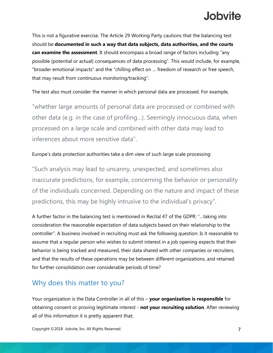This is not a figurative exercise. The Article 29 Working Party cautions that the balancing test should be **documented in such a way that data subjects, data authorities, and the courts can examine the assessment**. It should encompass a broad range of factors including "any possible (potential or actual) consequences of data processing". This would include, for example, "broader emotional impacts" and the "chilling effect on … freedom of research or free speech, that may result from continuous monitoring/tracking".

The test also must consider the manner in which personal data are processed. For example,

"whether large amounts of personal data are processed or combined with other data (e.g. in the case of profiling…). Seemingly innocuous data, when processed on a large scale and combined with other data may lead to inferences about more sensitive data".

#### Europe's data protection authorities take a dim view of such large scale processing:

"Such analysis may lead to uncanny, unexpected, and sometimes also inaccurate predictions, for example, concerning the behavior or personality of the individuals concerned. Depending on the nature and impact of these predictions, this may be highly intrusive to the individual's privacy".

A further factor in the balancing test is mentioned in Recital 47 of the GDPR: "…taking into consideration the reasonable expectation of data subjects based on their relationship to the controller". A business involved in recruiting must ask the following question: Is it reasonable to assume that a regular person who wishes to submit interest in a job opening expects that their behavior is being tracked and measured, their data shared with other companies or recruiters, and that the results of these operations may be between different organizations, and retained for further consolidation over considerable periods of time?

#### Why does this matter to you?

Your organization is the Data Controller in all of this – **your organization is responsible** for obtaining consent or proving legitimate interest - **not your recruiting solution**. After reviewing all of this information it is pretty apparent that;